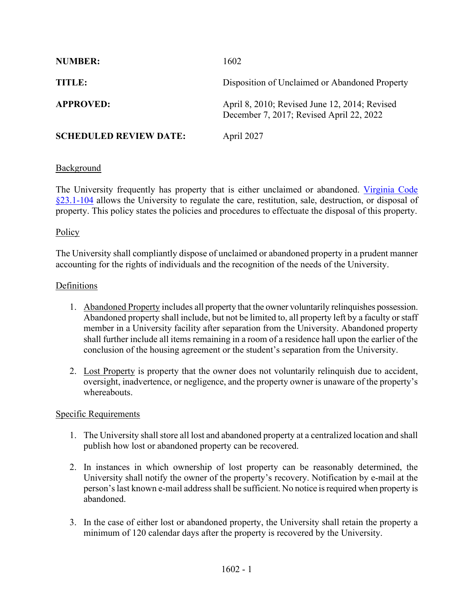| <b>NUMBER:</b>                | 1602                                                                                      |
|-------------------------------|-------------------------------------------------------------------------------------------|
| TITLE:                        | Disposition of Unclaimed or Abandoned Property                                            |
| <b>APPROVED:</b>              | April 8, 2010; Revised June 12, 2014; Revised<br>December 7, 2017; Revised April 22, 2022 |
| <b>SCHEDULED REVIEW DATE:</b> | April 2027                                                                                |

# Background

The University frequently has property that is either unclaimed or abandoned. [Virginia Code](https://law.lis.virginia.gov/vacode/23.1-104/)  [§23.1-104](https://law.lis.virginia.gov/vacode/23.1-104/) allows the University to regulate the care, restitution, sale, destruction, or disposal of property. This policy states the policies and procedures to effectuate the disposal of this property.

# **Policy**

The University shall compliantly dispose of unclaimed or abandoned property in a prudent manner accounting for the rights of individuals and the recognition of the needs of the University.

### Definitions

- 1. Abandoned Property includes all property that the owner voluntarily relinquishes possession. Abandoned property shall include, but not be limited to, all property left by a faculty or staff member in a University facility after separation from the University. Abandoned property shall further include all items remaining in a room of a residence hall upon the earlier of the conclusion of the housing agreement or the student's separation from the University.
- 2. Lost Property is property that the owner does not voluntarily relinquish due to accident, oversight, inadvertence, or negligence, and the property owner is unaware of the property's whereabouts.

### Specific Requirements

- 1. The University shall store all lost and abandoned property at a centralized location and shall publish how lost or abandoned property can be recovered.
- 2. In instances in which ownership of lost property can be reasonably determined, the University shall notify the owner of the property's recovery. Notification by e-mail at the person's last known e-mail address shall be sufficient. No notice is required when property is abandoned.
- 3. In the case of either lost or abandoned property, the University shall retain the property a minimum of 120 calendar days after the property is recovered by the University.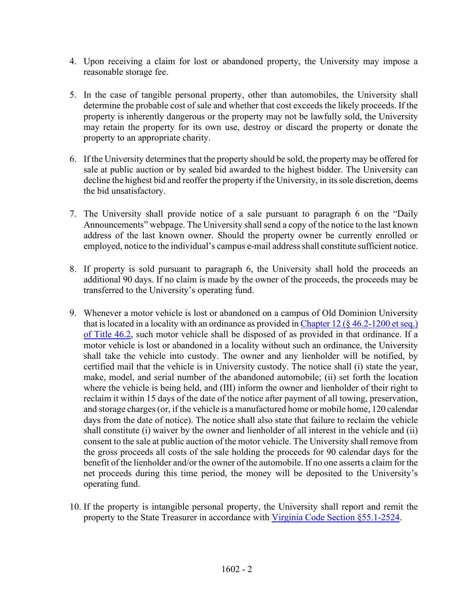- 4. Upon receiving a claim for lost or abandoned property, the University may impose a reasonable storage fee.
- 5. In the case of tangible personal property, other than automobiles, the University shall determine the probable cost of sale and whether that cost exceeds the likely proceeds. If the property is inherently dangerous or the property may not be lawfully sold, the University may retain the property for its own use, destroy or discard the property or donate the property to an appropriate charity.
- 6. If the University determines that the property should be sold, the property may be offered for sale at public auction or by sealed bid awarded to the highest bidder. The University can decline the highest bid and reoffer the property if the University, in its sole discretion, deems the bid unsatisfactory.
- 7. The University shall provide notice of a sale pursuant to paragraph 6 on the "Daily Announcements" webpage. The University shall send a copy of the notice to the last known address of the last known owner. Should the property owner be currently enrolled or employed, notice to the individual's campus e-mail address shall constitute sufficient notice.
- 8. If property is sold pursuant to paragraph 6, the University shall hold the proceeds an additional 90 days. If no claim is made by the owner of the proceeds, the proceeds may be transferred to the University's operating fund.
- 9. Whenever a motor vehicle is lost or abandoned on a campus of Old Dominion University that is located in a locality with an ordinance as provided in Chapter 12 ( $\frac{6}{9}$  46.2-1200 et seq.) [of Title 46.2,](https://law.lis.virginia.gov/vacode/title46.2/chapter12/section46.2-1200/) such motor vehicle shall be disposed of as provided in that ordinance. If a motor vehicle is lost or abandoned in a locality without such an ordinance, the University shall take the vehicle into custody. The owner and any lienholder will be notified, by certified mail that the vehicle is in University custody. The notice shall (i) state the year, make, model, and serial number of the abandoned automobile; (ii) set forth the location where the vehicle is being held, and (III) inform the owner and lienholder of their right to reclaim it within 15 days of the date of the notice after payment of all towing, preservation, and storage charges(or, if the vehicle is a manufactured home or mobile home, 120 calendar days from the date of notice). The notice shall also state that failure to reclaim the vehicle shall constitute (i) waiver by the owner and lienholder of all interest in the vehicle and (ii) consent to the sale at public auction of the motor vehicle. The University shall remove from the gross proceeds all costs of the sale holding the proceeds for 90 calendar days for the benefit of the lienholder and/or the owner of the automobile. If no one asserts a claim for the net proceeds during this time period, the money will be deposited to the University's operating fund.
- 10. If the property is intangible personal property, the University shall report and remit the property to the State Treasurer in accordance with [Virginia Code Section §55.1-2524.](https://law.lis.virginia.gov/vacode/title55.1/chapter25/section55.1-2524/)